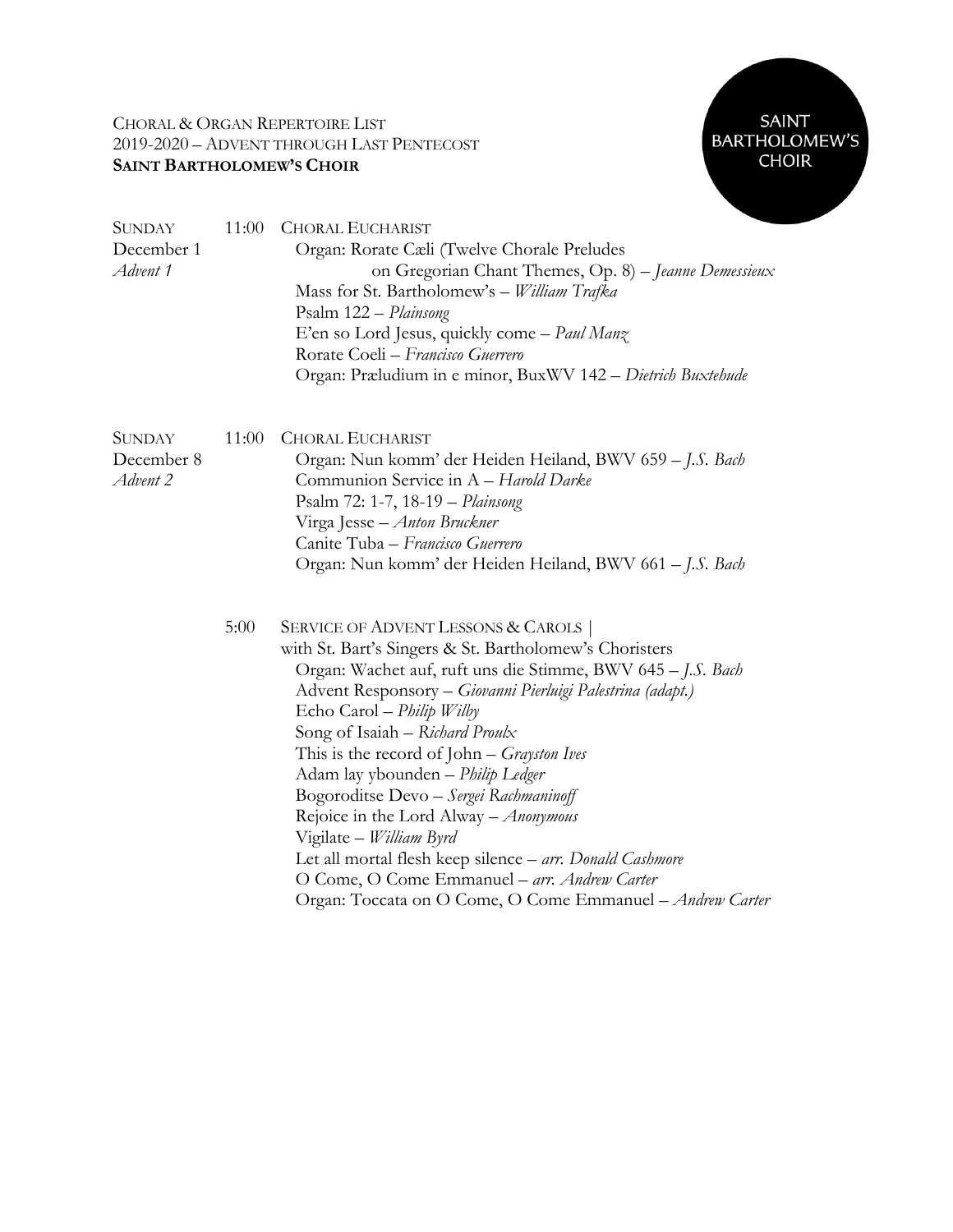## CHORAL & ORGAN REPERTOIRE LIST 2019-2020 – ADVENT THROUGH LAST PENTECOST **SAINT BARTHOLOMEW'S CHOIR**



| <b>SUNDAY</b><br>December 1<br>Advent 1 | 11:00 | <b>CHORAL EUCHARIST</b><br>Organ: Rorate Cæli (Twelve Chorale Preludes<br>on Gregorian Chant Themes, Op. 8) - Jeanne Demessieux<br>Mass for St. Bartholomew's - William Trafka<br>Psalm 122 - Plainsong<br>E'en so Lord Jesus, quickly come - Paul Manz<br>Rorate Coeli - Francisco Guerrero<br>Organ: Præludium in e minor, BuxWV 142 - Dietrich Buxtehude                                                                                                                                                                                                                                                                                                                      |
|-----------------------------------------|-------|----------------------------------------------------------------------------------------------------------------------------------------------------------------------------------------------------------------------------------------------------------------------------------------------------------------------------------------------------------------------------------------------------------------------------------------------------------------------------------------------------------------------------------------------------------------------------------------------------------------------------------------------------------------------------------|
| <b>SUNDAY</b><br>December 8<br>Advent 2 | 11:00 | <b>CHORAL EUCHARIST</b><br>Organ: Nun komm' der Heiden Heiland, BWV 659 - J.S. Bach<br>Communion Service in A - Harold Darke<br>Psalm 72: 1-7, 18-19 - Plainsong<br>Virga Jesse - Anton Bruckner<br>Canite Tuba - Francisco Guerrero<br>Organ: Nun komm' der Heiden Heiland, BWV 661 – J.S. Bach                                                                                                                                                                                                                                                                                                                                                                                 |
|                                         | 5:00  | <b>SERVICE OF ADVENT LESSONS &amp; CAROLS</b><br>with St. Bart's Singers & St. Bartholomew's Choristers<br>Organ: Wachet auf, ruft uns die Stimme, BWV 645 - J.S. Bach<br>Advent Responsory - Giovanni Pierluigi Palestrina (adapt.)<br>Echo Carol - Philip Wilby<br>Song of Isaiah - Richard Proulx<br>This is the record of John $-$ Grayston Ives<br>Adam lay ybounden - Philip Ledger<br>Bogoroditse Devo - Sergei Rachmaninoff<br>Rejoice in the Lord Alway - Anonymous<br>Vigilate - William Byrd<br>Let all mortal flesh keep silence - arr. Donald Cashmore<br>O Come, O Come Emmanuel - arr. Andrew Carter<br>Organ: Toccata on O Come, O Come Emmanuel - Andrew Carter |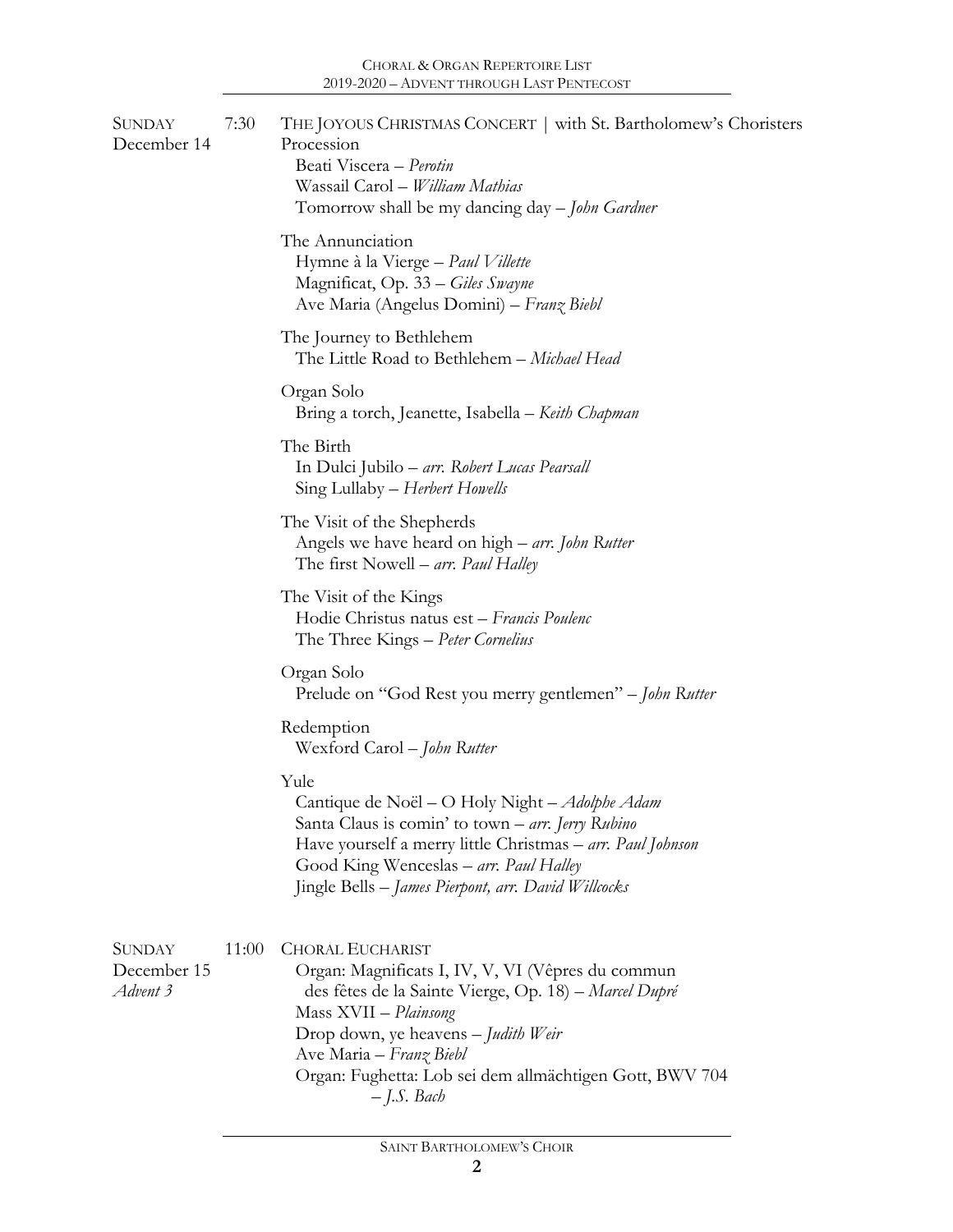| SUNDAY<br>December 14                    | 7:30  | THE JOYOUS CHRISTMAS CONCERT   with St. Bartholomew's Choristers<br>Procession<br>Beati Viscera - Perotin<br>Wassail Carol - William Mathias<br>Tomorrow shall be my dancing day – John Gardner                                                                                                             |
|------------------------------------------|-------|-------------------------------------------------------------------------------------------------------------------------------------------------------------------------------------------------------------------------------------------------------------------------------------------------------------|
|                                          |       | The Annunciation<br>Hymne à la Vierge - Paul Villette<br>Magnificat, Op. 33 – Giles Swayne<br>Ave Maria (Angelus Domini) – Franz Biebl                                                                                                                                                                      |
|                                          |       | The Journey to Bethlehem<br>The Little Road to Bethlehem - Michael Head                                                                                                                                                                                                                                     |
|                                          |       | Organ Solo<br>Bring a torch, Jeanette, Isabella - Keith Chapman                                                                                                                                                                                                                                             |
|                                          |       | The Birth<br>In Dulci Jubilo – arr. Robert Lucas Pearsall<br>Sing Lullaby – Herbert Howells                                                                                                                                                                                                                 |
|                                          |       | The Visit of the Shepherds<br>Angels we have heard on high – arr. John Rutter<br>The first Nowell – arr. Paul Halley                                                                                                                                                                                        |
|                                          |       | The Visit of the Kings<br>Hodie Christus natus est - Francis Poulenc<br>The Three Kings – Peter Cornelius                                                                                                                                                                                                   |
|                                          |       | Organ Solo<br>Prelude on "God Rest you merry gentlemen" - John Rutter                                                                                                                                                                                                                                       |
|                                          |       | Redemption<br>Wexford Carol – John Rutter                                                                                                                                                                                                                                                                   |
|                                          |       | Yule<br>Cantique de Noël – O Holy Night – Adolphe Adam<br>Santa Claus is comin' to town – arr. Jerry Rubino<br>Have yourself a merry little Christmas - arr. Paul Johnson<br>Good King Wenceslas – arr. Paul Halley<br>Jingle Bells - James Pierpont, arr. David Willcocks                                  |
| <b>SUNDAY</b><br>December 15<br>Advent 3 | 11:00 | <b>CHORAL EUCHARIST</b><br>Organ: Magnificats I, IV, V, VI (Vêpres du commun<br>des fêtes de la Sainte Vierge, Op. 18) – Marcel Dupré<br>Mass XVII - Plainsong<br>Drop down, ye heavens - Judith Weir<br>Ave Maria - Franz Biebl<br>Organ: Fughetta: Lob sei dem allmächtigen Gott, BWV 704<br>$-J.S.$ Bach |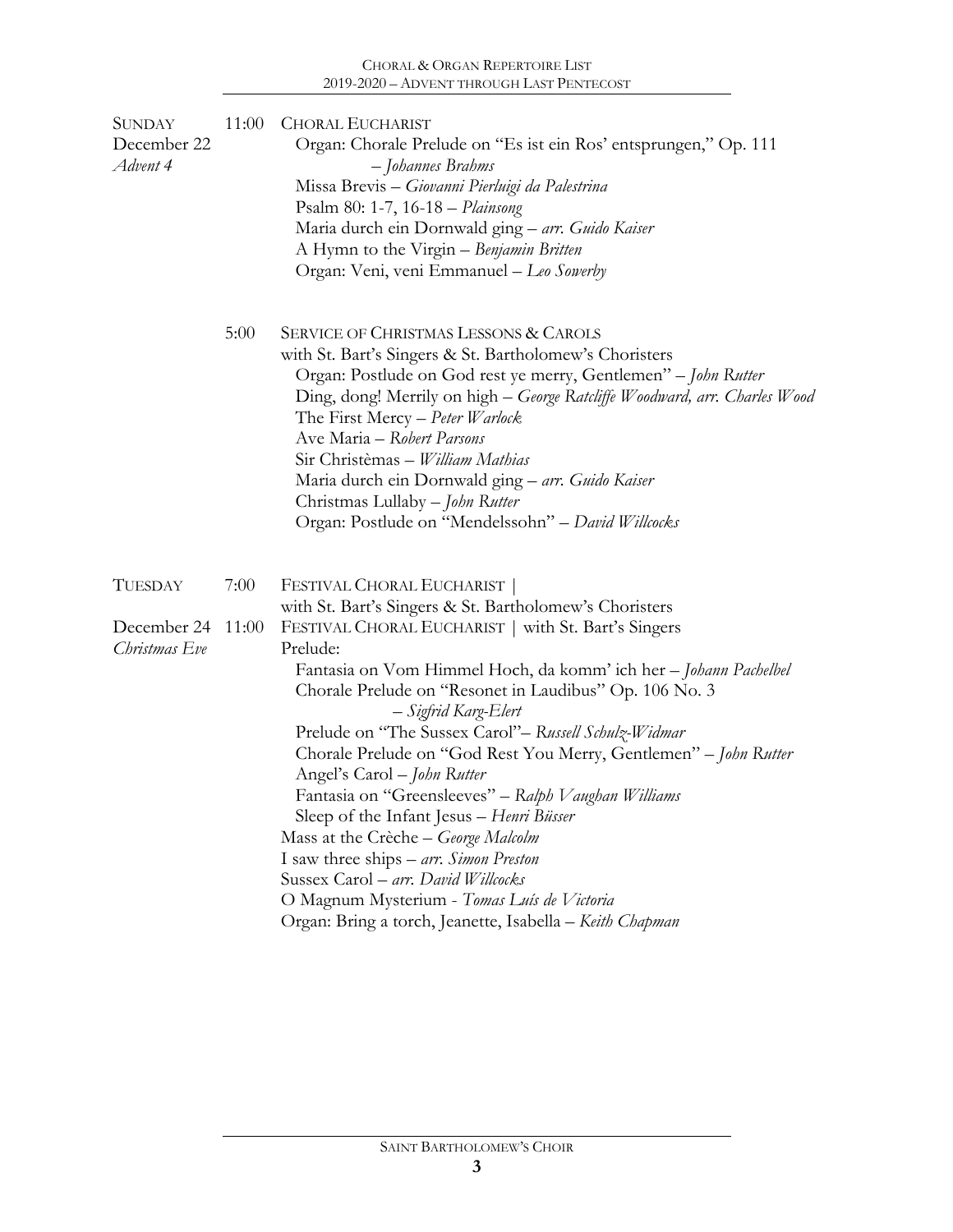| <b>SUNDAY</b><br>December 22<br>Advent 4 | 11:00 | <b>CHORAL EUCHARIST</b><br>Organ: Chorale Prelude on "Es ist ein Ros' entsprungen," Op. 111<br>- Johannes Brahms<br>Missa Brevis - Giovanni Pierluigi da Palestrina<br>Psalm 80: 1-7, 16-18 - Plainsong<br>Maria durch ein Dornwald ging - arr. Guido Kaiser<br>A Hymn to the Virgin – Benjamin Britten<br>Organ: Veni, veni Emmanuel - Leo Sowerby                                                                                                                                                                                                                                                                                                              |  |
|------------------------------------------|-------|------------------------------------------------------------------------------------------------------------------------------------------------------------------------------------------------------------------------------------------------------------------------------------------------------------------------------------------------------------------------------------------------------------------------------------------------------------------------------------------------------------------------------------------------------------------------------------------------------------------------------------------------------------------|--|
|                                          | 5:00  | <b>SERVICE OF CHRISTMAS LESSONS &amp; CAROLS</b><br>with St. Bart's Singers & St. Bartholomew's Choristers<br>Organ: Postlude on God rest ye merry, Gentlemen" - John Rutter<br>Ding, dong! Merrily on high - George Ratcliffe Woodward, arr. Charles Wood<br>The First Mercy - Peter Warlock<br>Ave Maria - Robert Parsons<br>Sir Christèmas - William Mathias<br>Maria durch ein Dornwald ging - arr. Guido Kaiser<br>Christmas Lullaby – John Rutter<br>Organ: Postlude on "Mendelssohn" - David Willcocks                                                                                                                                                    |  |
| <b>TUESDAY</b>                           | 7:00  | FESTIVAL CHORAL EUCHARIST<br>with St. Bart's Singers & St. Bartholomew's Choristers                                                                                                                                                                                                                                                                                                                                                                                                                                                                                                                                                                              |  |
| December 24                              | 11:00 | FESTIVAL CHORAL EUCHARIST   with St. Bart's Singers                                                                                                                                                                                                                                                                                                                                                                                                                                                                                                                                                                                                              |  |
| Christmas Eve                            |       | Prelude:<br>Fantasia on Vom Himmel Hoch, da komm' ich her - Johann Pachelbel<br>Chorale Prelude on "Resonet in Laudibus" Op. 106 No. 3<br>– Sigfrid Karg-Elert<br>Prelude on "The Sussex Carol" – Russell Schulz-Widmar<br>Chorale Prelude on "God Rest You Merry, Gentlemen" - John Rutter<br>Angel's Carol - John Rutter<br>Fantasia on "Greensleeves" - Ralph Vaughan Williams<br>Sleep of the Infant Jesus - Henri Büsser<br>Mass at the Crèche - George Malcolm<br>I saw three ships - arr. Simon Preston<br>Sussex Carol - arr. David Willcocks<br>O Magnum Mysterium - Tomas Luís de Victoria<br>Organ: Bring a torch, Jeanette, Isabella – Keith Chapman |  |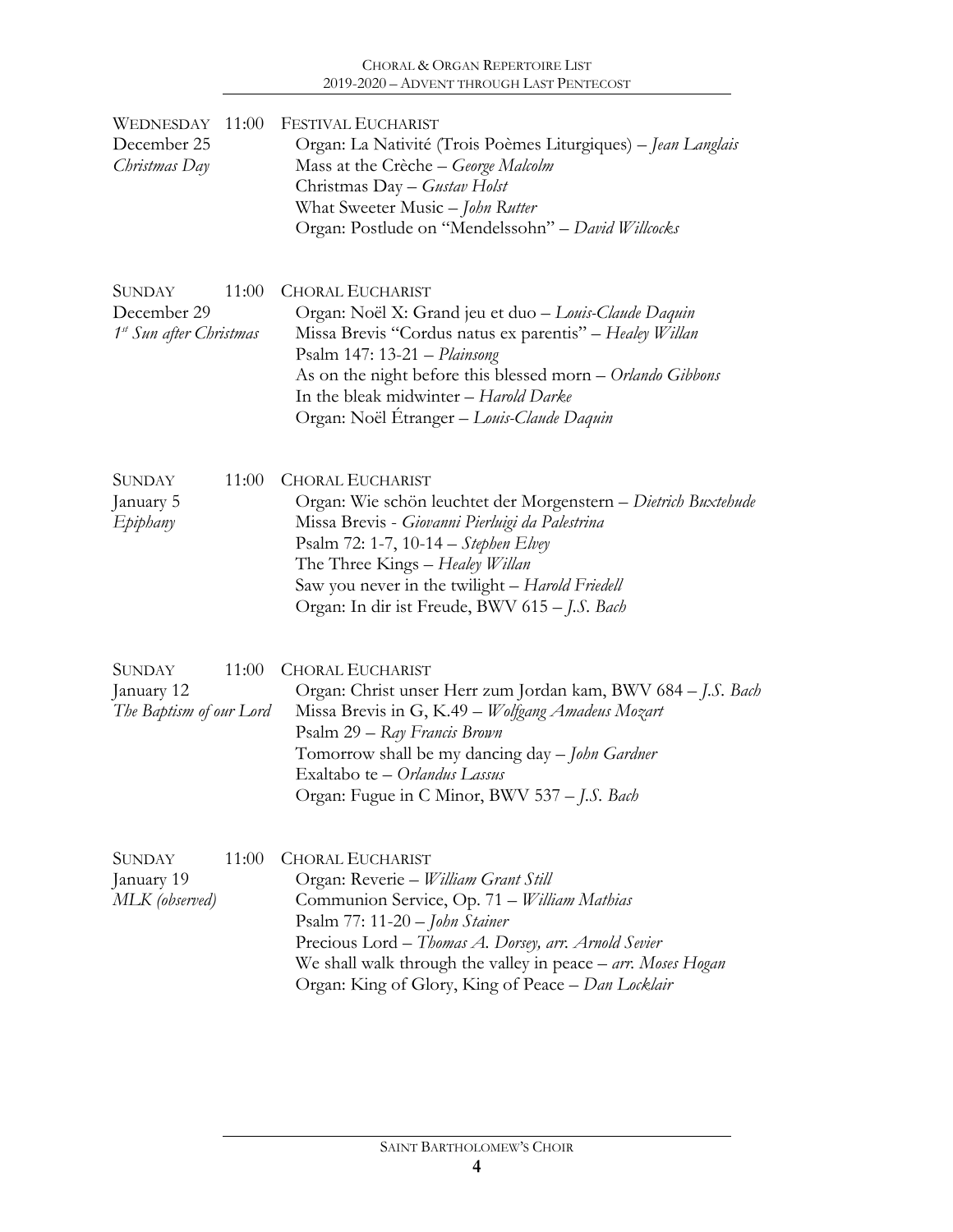| 11:00<br>WEDNESDAY<br>December 25<br>Christmas Day                           | <b>FESTIVAL EUCHARIST</b><br>Organ: La Nativité (Trois Poèmes Liturgiques) - Jean Langlais<br>Mass at the Crèche - George Malcolm<br>Christmas Day - Gustav Holst<br>What Sweeter Music - John Rutter<br>Organ: Postlude on "Mendelssohn" - David Willcocks                                                                      |
|------------------------------------------------------------------------------|----------------------------------------------------------------------------------------------------------------------------------------------------------------------------------------------------------------------------------------------------------------------------------------------------------------------------------|
| <b>SUNDAY</b><br>11:00<br>December 29<br>1 <sup>st</sup> Sun after Christmas | <b>CHORAL EUCHARIST</b><br>Organ: Noël X: Grand jeu et duo - Louis-Claude Daquin<br>Missa Brevis "Cordus natus ex parentis" - Healey Willan<br>Psalm 147: 13-21 - Plainsong<br>As on the night before this blessed morn - Orlando Gibbons<br>In the bleak midwinter - Harold Darke<br>Organ: Noël Étranger - Louis-Claude Daquin |
| <b>SUNDAY</b><br>11:00<br>January 5<br>Epiphany                              | <b>CHORAL EUCHARIST</b><br>Organ: Wie schön leuchtet der Morgenstern - Dietrich Buxtehude<br>Missa Brevis - Giovanni Pierluigi da Palestrina<br>Psalm 72: 1-7, 10-14 - Stephen Elvey<br>The Three Kings – Healey Willan<br>Saw you never in the twilight - Harold Friedell<br>Organ: In dir ist Freude, BWV 615 - J.S. Bach      |
| 11:00<br><b>SUNDAY</b><br>January 12<br>The Baptism of our Lord              | <b>CHORAL EUCHARIST</b><br>Organ: Christ unser Herr zum Jordan kam, BWV 684 - J.S. Bach<br>Missa Brevis in G, K.49 - Wolfgang Amadeus Mozart<br>Psalm 29 – Ray Francis Brown<br>Tomorrow shall be my dancing day - John Gardner<br>Exaltabo te - Orlandus Lassus<br>Organ: Fugue in C Minor, BWV 537 – J.S. Bach                 |
| 11:00<br><b>SUNDAY</b><br>January 19<br>MLK (observed)                       | <b>CHORAL EUCHARIST</b><br>Organ: Reverie - William Grant Still<br>Communion Service, Op. 71 - William Mathias<br>Psalm 77: 11-20 - John Stainer<br>Precious Lord - Thomas A. Dorsey, arr. Arnold Sevier<br>We shall walk through the valley in peace $-$ arr. Moses Hogan<br>Organ: King of Glory, King of Peace – Dan Locklair |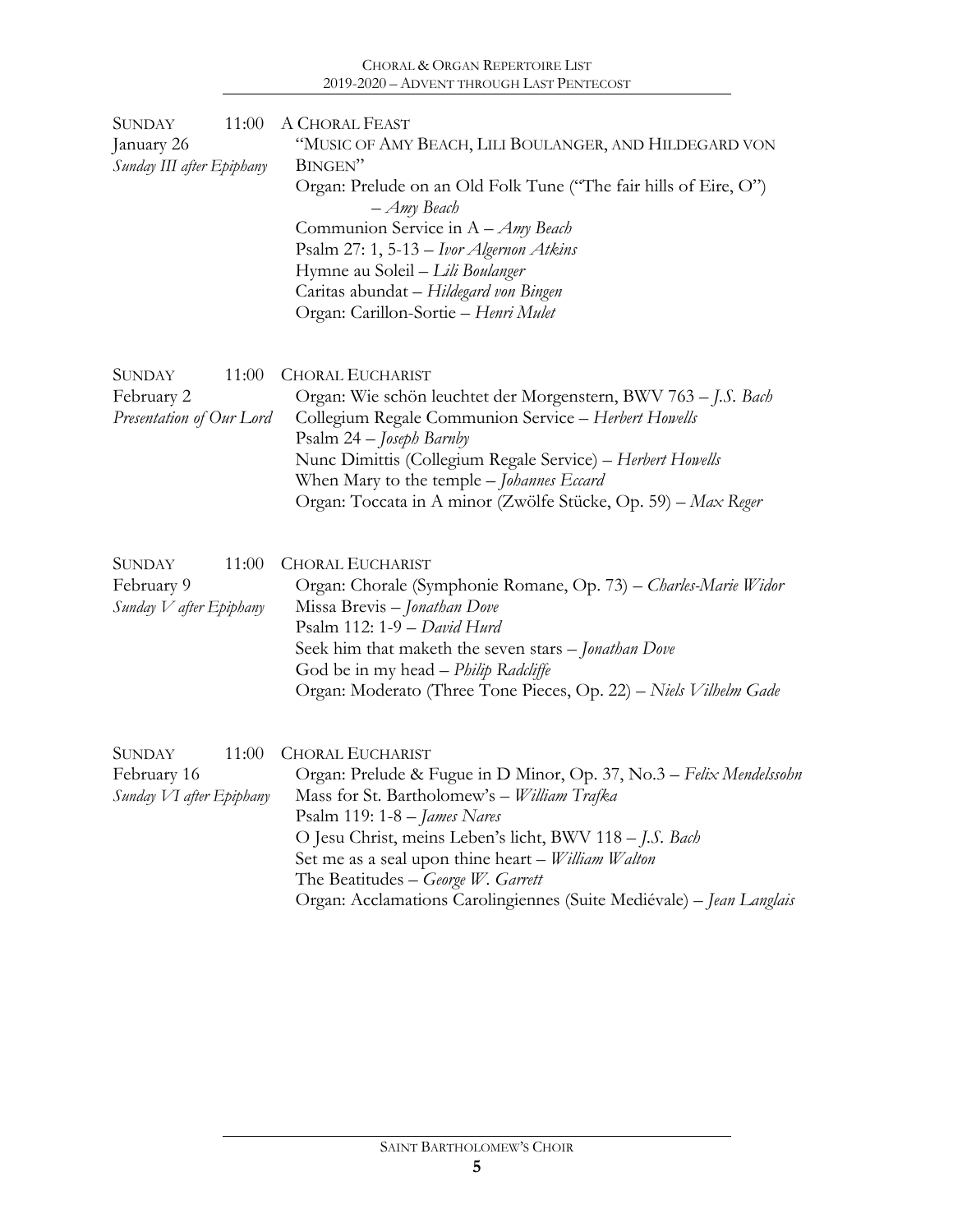| 11:00<br><b>SUNDAY</b><br>January 26<br>Sunday III after Epiphany | A CHORAL FEAST<br>"MUSIC OF AMY BEACH, LILI BOULANGER, AND HILDEGARD VON<br>BINGEN"<br>Organ: Prelude on an Old Folk Tune ("The fair hills of Eire, O")<br>$-Amy$ Beach<br>Communion Service in A - Amy Beach<br>Psalm 27: 1, 5-13 - Ivor Algernon Atkins<br>Hymne au Soleil - Lili Boulanger<br>Caritas abundat - Hildegard von Bingen<br>Organ: Carillon-Sortie - Henri Mulet                                |
|-------------------------------------------------------------------|----------------------------------------------------------------------------------------------------------------------------------------------------------------------------------------------------------------------------------------------------------------------------------------------------------------------------------------------------------------------------------------------------------------|
| <b>SUNDAY</b><br>11:00<br>February 2<br>Presentation of Our Lord  | <b>CHORAL EUCHARIST</b><br>Organ: Wie schön leuchtet der Morgenstern, BWV 763 - J.S. Bach<br>Collegium Regale Communion Service - Herbert Howells<br>Psalm 24 - Joseph Barnby<br>Nunc Dimittis (Collegium Regale Service) - Herbert Howells<br>When Mary to the temple - Johannes Eccard<br>Organ: Toccata in A minor (Zwölfe Stücke, Op. 59) - Max Reger                                                      |
| 11:00<br><b>SUNDAY</b><br>February 9<br>Sunday $V$ after Epiphany | <b>CHORAL EUCHARIST</b><br>Organ: Chorale (Symphonie Romane, Op. 73) - Charles-Marie Widor<br>Missa Brevis - Jonathan Dove<br>Psalm 112: 1-9 - David Hurd<br>Seek him that maketh the seven stars - Jonathan Dove<br>God be in my head - Philip Radcliffe<br>Organ: Moderato (Three Tone Pieces, Op. 22) - Niels Vilhelm Gade                                                                                  |
| <b>SUNDAY</b><br>11:00<br>February 16<br>Sunday VI after Epiphany | <b>CHORAL EUCHARIST</b><br>Organ: Prelude & Fugue in D Minor, Op. 37, No.3 - Felix Mendelssohn<br>Mass for St. Bartholomew's - William Trafka<br>Psalm 119: $1-8$ – James Nares<br>O Jesu Christ, meins Leben's licht, BWV 118 - J.S. Bach<br>Set me as a seal upon thine heart - William Walton<br>The Beatitudes - George W. Garrett<br>Organ: Acclamations Carolingiennes (Suite Mediévale) - Jean Langlais |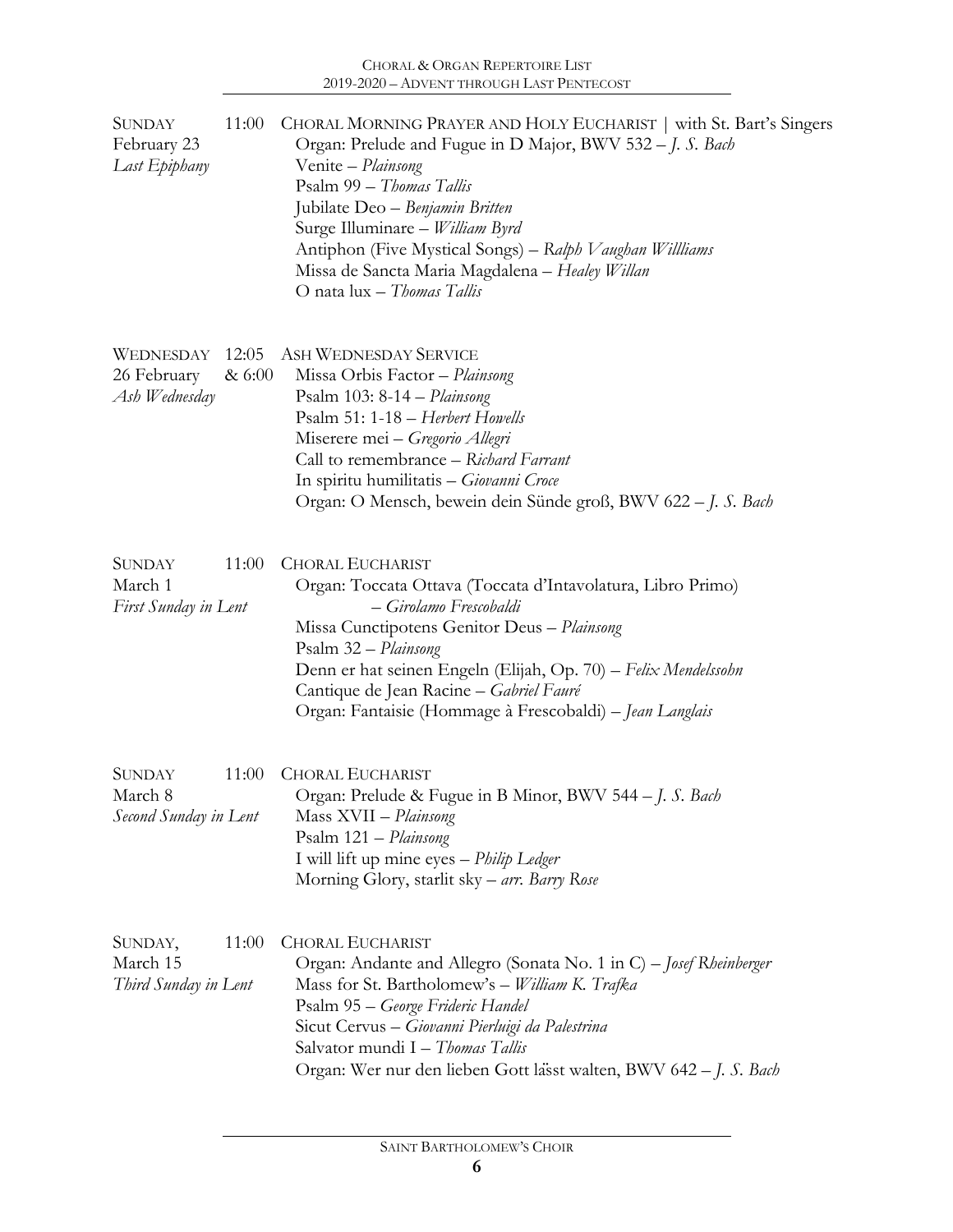| SUNDAY<br>February 23<br>Last Epiphany            | 11:00           | CHORAL MORNING PRAYER AND HOLY EUCHARIST   with St. Bart's Singers<br>Organ: Prelude and Fugue in D Major, BWV 532 - J. S. Bach<br>Venite - Plainsong<br>Psalm 99 - Thomas Tallis<br>Jubilate Deo - Benjamin Britten<br>Surge Illuminare - William Byrd<br>Antiphon (Five Mystical Songs) - Ralph Vaughan Willliams<br>Missa de Sancta Maria Magdalena - Healey Willan<br>O nata lux - Thomas Tallis |
|---------------------------------------------------|-----------------|------------------------------------------------------------------------------------------------------------------------------------------------------------------------------------------------------------------------------------------------------------------------------------------------------------------------------------------------------------------------------------------------------|
| WEDNESDAY<br>26 February<br>Ash Wednesday         | 12:05<br>& 6:00 | <b>ASH WEDNESDAY SERVICE</b><br>Missa Orbis Factor - Plainsong<br>Psalm 103: 8-14 - Plainsong<br>Psalm 51: 1-18 - Herbert Howells<br>Miserere mei - Gregorio Allegri<br>Call to remembrance - Richard Farrant<br>In spiritu humilitatis - Giovanni Croce<br>Organ: O Mensch, bewein dein Sünde groß, BWV 622 – J. S. Bach                                                                            |
| <b>SUNDAY</b><br>March 1<br>First Sunday in Lent  | 11:00           | <b>CHORAL EUCHARIST</b><br>Organ: Toccata Ottava (Toccata d'Intavolatura, Libro Primo)<br>- Girolamo Frescobaldi<br>Missa Cunctipotens Genitor Deus - Plainsong<br>Psalm 32 - Plainsong<br>Denn er hat seinen Engeln (Elijah, Op. 70) - Felix Mendelssohn<br>Cantique de Jean Racine - Gabriel Fauré<br>Organ: Fantaisie (Hommage à Frescobaldi) – Jean Langlais                                     |
| <b>SUNDAY</b><br>March 8<br>Second Sunday in Lent | 11:00           | <b>CHORAL EUCHARIST</b><br>Organ: Prelude & Fugue in B Minor, BWV 544 - J. S. Bach<br>Mass XVII - Plainsong<br>Psalm 121 - Plainsong<br>I will lift up mine eyes - Philip Ledger<br>Morning Glory, starlit sky – arr. Barry Rose                                                                                                                                                                     |
| SUNDAY,<br>March 15<br>Third Sunday in Lent       | 11:00           | <b>CHORAL EUCHARIST</b><br>Organ: Andante and Allegro (Sonata No. 1 in C) – Josef Rheinberger<br>Mass for St. Bartholomew's - William K. Trafka<br>Psalm 95 – George Frideric Handel<br>Sicut Cervus - Giovanni Pierluigi da Palestrina<br>Salvator mundi I – Thomas Tallis<br>Organ: Wer nur den lieben Gott lässt walten, BWV 642 – J. S. Bach                                                     |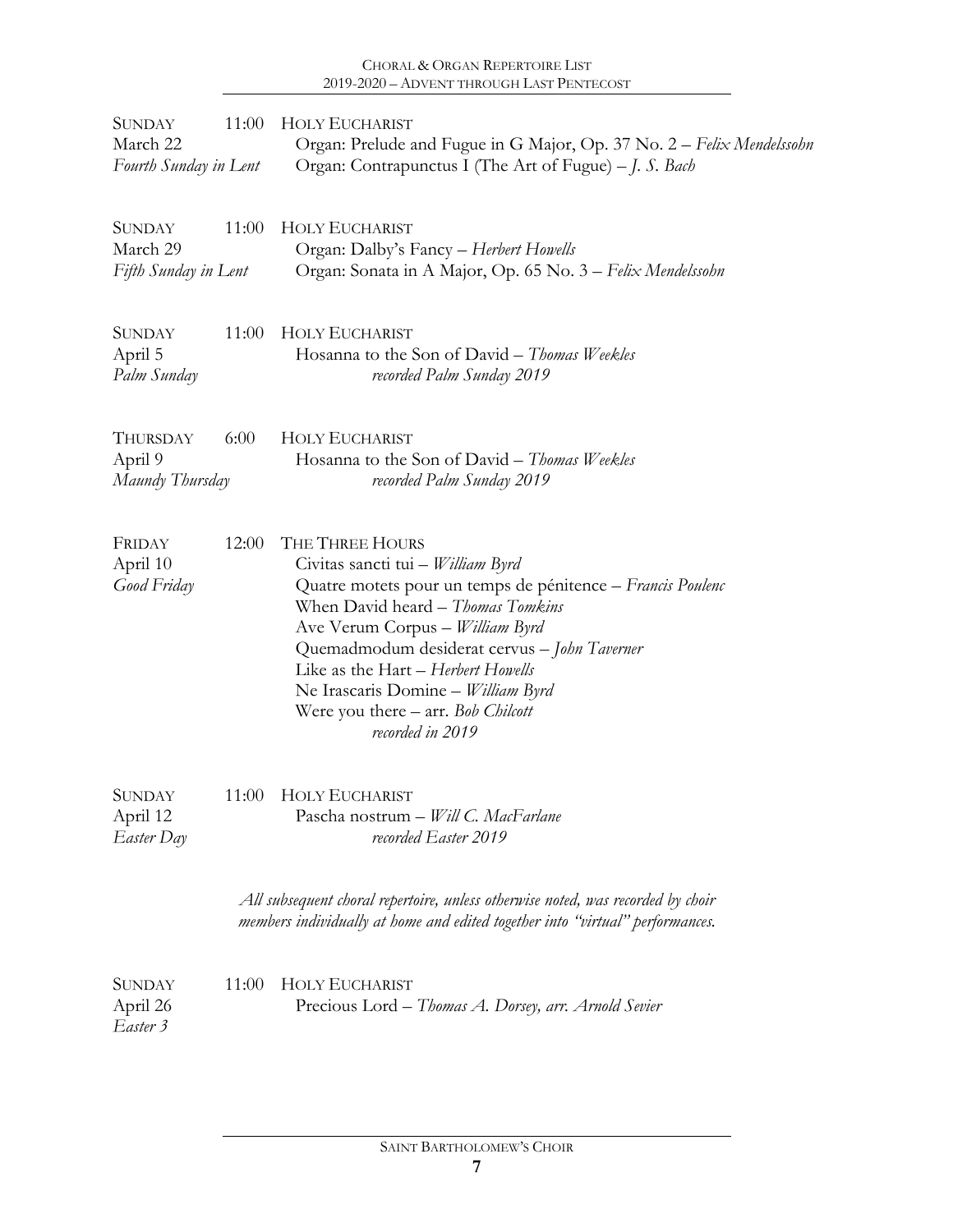## CHORAL & ORGAN REPERTOIRE LIST 2019-2020 – ADVENT THROUGH LAST PENTECOST

| <b>SUNDAY</b><br>March 22<br>Fourth Sunday in Lent | 11:00 | <b>HOLY EUCHARIST</b><br>Organ: Prelude and Fugue in G Major, Op. 37 No. 2 - Felix Mendelssohn<br>Organ: Contrapunctus I (The Art of Fugue) - J. S. Bach                                                                                                                                                                                                                         |
|----------------------------------------------------|-------|----------------------------------------------------------------------------------------------------------------------------------------------------------------------------------------------------------------------------------------------------------------------------------------------------------------------------------------------------------------------------------|
| <b>SUNDAY</b><br>March 29<br>Fifth Sunday in Lent  | 11:00 | <b>HOLY EUCHARIST</b><br>Organ: Dalby's Fancy - Herbert Howells<br>Organ: Sonata in A Major, Op. 65 No. 3 - Felix Mendelssohn                                                                                                                                                                                                                                                    |
| <b>SUNDAY</b><br>April 5<br>Palm Sunday            | 11:00 | <b>HOLY EUCHARIST</b><br>Hosanna to the Son of David – Thomas Weekles<br>recorded Palm Sunday 2019                                                                                                                                                                                                                                                                               |
| THURSDAY<br>April 9<br>Maundy Thursday             | 6:00  | <b>HOLY EUCHARIST</b><br>Hosanna to the Son of David - Thomas Weekles<br>recorded Palm Sunday 2019                                                                                                                                                                                                                                                                               |
| FRIDAY<br>April 10<br>Good Friday                  | 12:00 | THE THREE HOURS<br>Civitas sancti tui - William Byrd<br>Quatre motets pour un temps de pénitence - Francis Poulenc<br>When David heard - Thomas Tomkins<br>Ave Verum Corpus - William Byrd<br>Quemadmodum desiderat cervus - John Taverner<br>Like as the Hart – Herbert Howells<br>Ne Irascaris Domine - William Byrd<br>Were you there - arr. Bob Chilcott<br>recorded in 2019 |
| SUNDAY<br>April 12<br>Easter Day                   | 11:00 | <b>HOLY EUCHARIST</b><br>Pascha nostrum - Will C. MacFarlane<br>recorded Easter 2019                                                                                                                                                                                                                                                                                             |
|                                                    |       | All subsequent choral repertoire, unless otherwise noted, was recorded by choir<br>members individually at home and edited together into "virtual" performances.                                                                                                                                                                                                                 |
| <b>SUNDAY</b><br>April 26<br>Easter 3              | 11:00 | <b>HOLY EUCHARIST</b><br>Precious Lord – Thomas A. Dorsey, arr. Arnold Sevier                                                                                                                                                                                                                                                                                                    |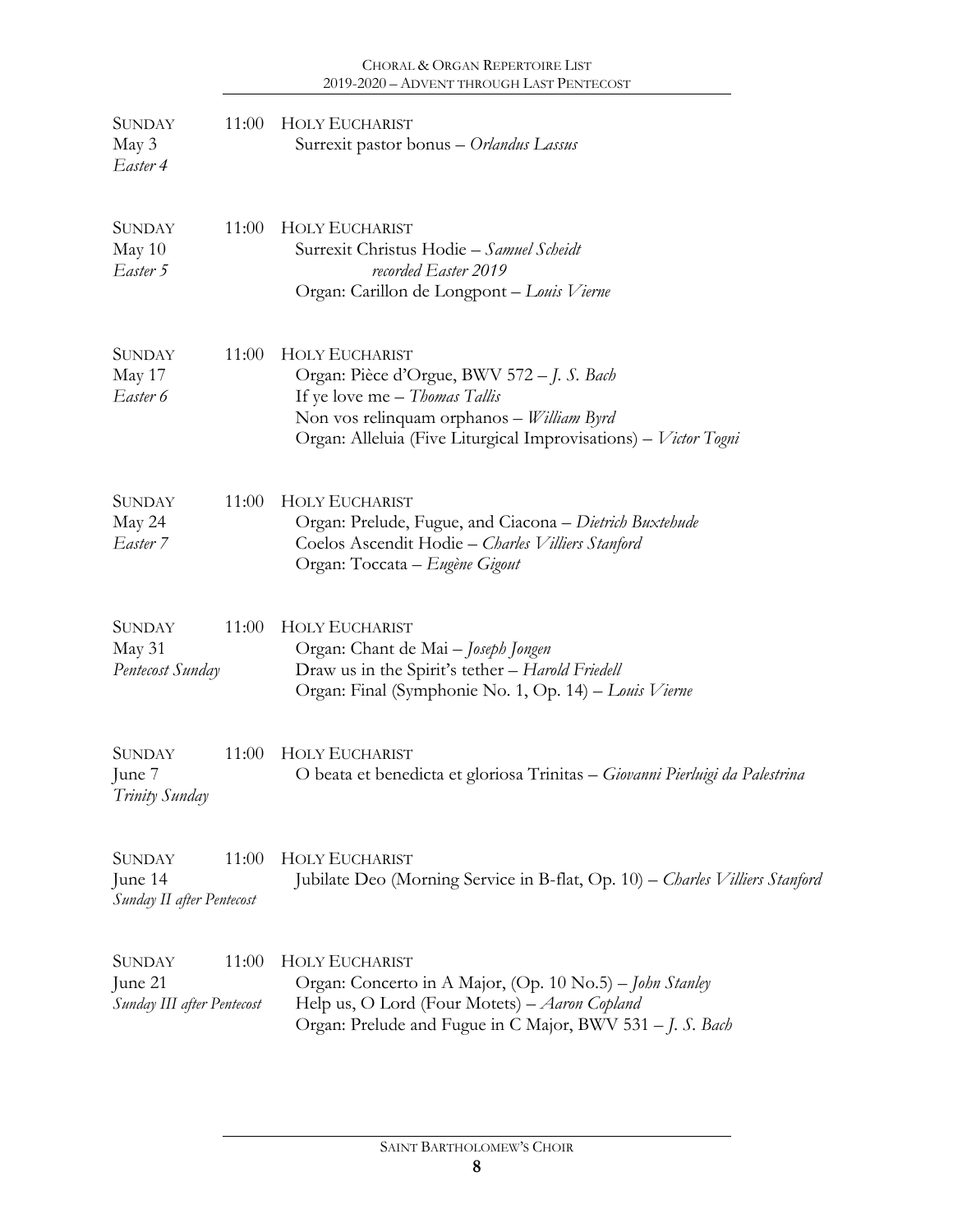| <b>SUNDAY</b><br>May 3<br>Easter 4                     | 11:00 | <b>HOLY EUCHARIST</b><br>Surrexit pastor bonus - Orlandus Lassus                                                                                                                                                            |
|--------------------------------------------------------|-------|-----------------------------------------------------------------------------------------------------------------------------------------------------------------------------------------------------------------------------|
| <b>SUNDAY</b><br>May 10<br>Easter 5                    | 11:00 | <b>HOLY EUCHARIST</b><br>Surrexit Christus Hodie - Samuel Scheidt<br>recorded Easter 2019<br>Organ: Carillon de Longpont - Louis Vierne                                                                                     |
| <b>SUNDAY</b><br>May 17<br>Easter 6                    | 11:00 | <b>HOLY EUCHARIST</b><br>Organ: Pièce d'Orgue, BWV 572 – J. S. Bach<br>If ye love me - Thomas Tallis<br>Non vos relinquam orphanos - <i>William Byrd</i><br>Organ: Alleluia (Five Liturgical Improvisations) – Victor Togni |
| <b>SUNDAY</b><br>May 24<br>Easter 7                    | 11:00 | <b>HOLY EUCHARIST</b><br>Organ: Prelude, Fugue, and Ciacona - Dietrich Buxtehude<br>Coelos Ascendit Hodie - Charles Villiers Stanford<br>Organ: Toccata – Eugène Gigout                                                     |
| <b>SUNDAY</b><br>May 31<br>Pentecost Sunday            | 11:00 | <b>HOLY EUCHARIST</b><br>Organ: Chant de Mai - Joseph Jongen<br>Draw us in the Spirit's tether - Harold Friedell<br>Organ: Final (Symphonie No. 1, Op. 14) – Louis Vierne                                                   |
| <b>SUNDAY</b><br>June 7<br>Trinity Sunday              | 11:00 | <b>HOLY EUCHARIST</b><br>O beata et benedicta et gloriosa Trinitas – Giovanni Pierluigi da Palestrina                                                                                                                       |
| SUNDAY<br>June 14<br>Sunday II after Pentecost         | 11:00 | <b>HOLY EUCHARIST</b><br>Jubilate Deo (Morning Service in B-flat, Op. 10) - Charles Villiers Stanford                                                                                                                       |
| <b>SUNDAY</b><br>June 21<br>Sunday III after Pentecost | 11:00 | HOLY EUCHARIST<br>Organ: Concerto in A Major, (Op. 10 No.5) - John Stanley<br>Help us, O Lord (Four Motets) - Aaron Copland<br>Organ: Prelude and Fugue in C Major, BWV 531 - J. S. Bach                                    |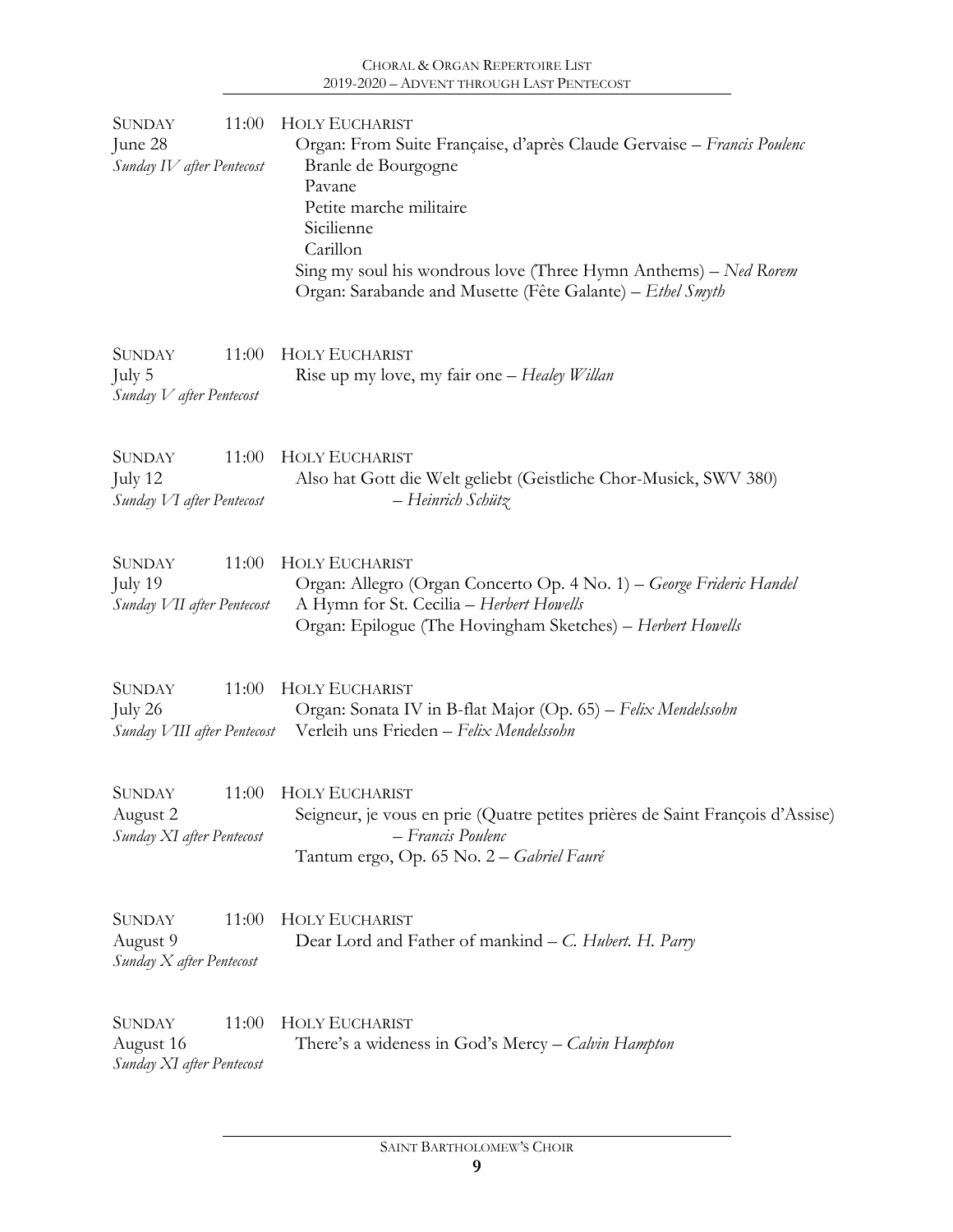| 11:00<br>SUNDAY<br>June 28<br>Sunday IV after Pentecost          | <b>HOLY EUCHARIST</b><br>Organ: From Suite Française, d'après Claude Gervaise - Francis Poulenc<br>Branle de Bourgogne<br>Pavane<br>Petite marche militaire<br>Sicilienne<br>Carillon<br>Sing my soul his wondrous love (Three Hymn Anthems) – Ned Rorem<br>Organ: Sarabande and Musette (Fête Galante) - Ethel Smyth |
|------------------------------------------------------------------|-----------------------------------------------------------------------------------------------------------------------------------------------------------------------------------------------------------------------------------------------------------------------------------------------------------------------|
| <b>SUNDAY</b><br>11:00<br>July 5<br>Sunday V after Pentecost     | <b>HOLY EUCHARIST</b><br>Rise up my love, my fair one – Healey Willan                                                                                                                                                                                                                                                 |
| <b>SUNDAY</b><br>11:00<br>July 12<br>Sunday VI after Pentecost   | <b>HOLY EUCHARIST</b><br>Also hat Gott die Welt geliebt (Geistliche Chor-Musick, SWV 380)<br>– Heinrich Schütz                                                                                                                                                                                                        |
| <b>SUNDAY</b><br>11:00<br>July 19<br>Sunday VII after Pentecost  | <b>HOLY EUCHARIST</b><br>Organ: Allegro (Organ Concerto Op. 4 No. 1) – George Frideric Handel<br>A Hymn for St. Cecilia - Herbert Howells<br>Organ: Epilogue (The Hovingham Sketches) - Herbert Howells                                                                                                               |
| 11:00<br><b>SUNDAY</b><br>July 26<br>Sunday VIII after Pentecost | <b>HOLY EUCHARIST</b><br>Organ: Sonata IV in B-flat Major (Op. 65) – Felix Mendelssohn<br>Verleih uns Frieden - Felix Mendelssohn                                                                                                                                                                                     |
| <b>SUNDAY</b><br>11:00<br>August 2<br>Sunday XI after Pentecost  | <b>HOLY EUCHARIST</b><br>Seigneur, je vous en prie (Quatre petites prières de Saint François d'Assise)<br>– Francis Poulenc<br>Tantum ergo, Op. 65 No. 2 - Gabriel Fauré                                                                                                                                              |
| <b>SUNDAY</b><br>11:00<br>August 9<br>Sunday X after Pentecost   | <b>HOLY EUCHARIST</b><br>Dear Lord and Father of mankind – C. Hubert. H. Parry                                                                                                                                                                                                                                        |
| <b>SUNDAY</b><br>11:00<br>August 16<br>Sunday XI after Pentecost | <b>HOLY EUCHARIST</b><br>There's a wideness in God's Mercy – <i>Calvin Hampton</i>                                                                                                                                                                                                                                    |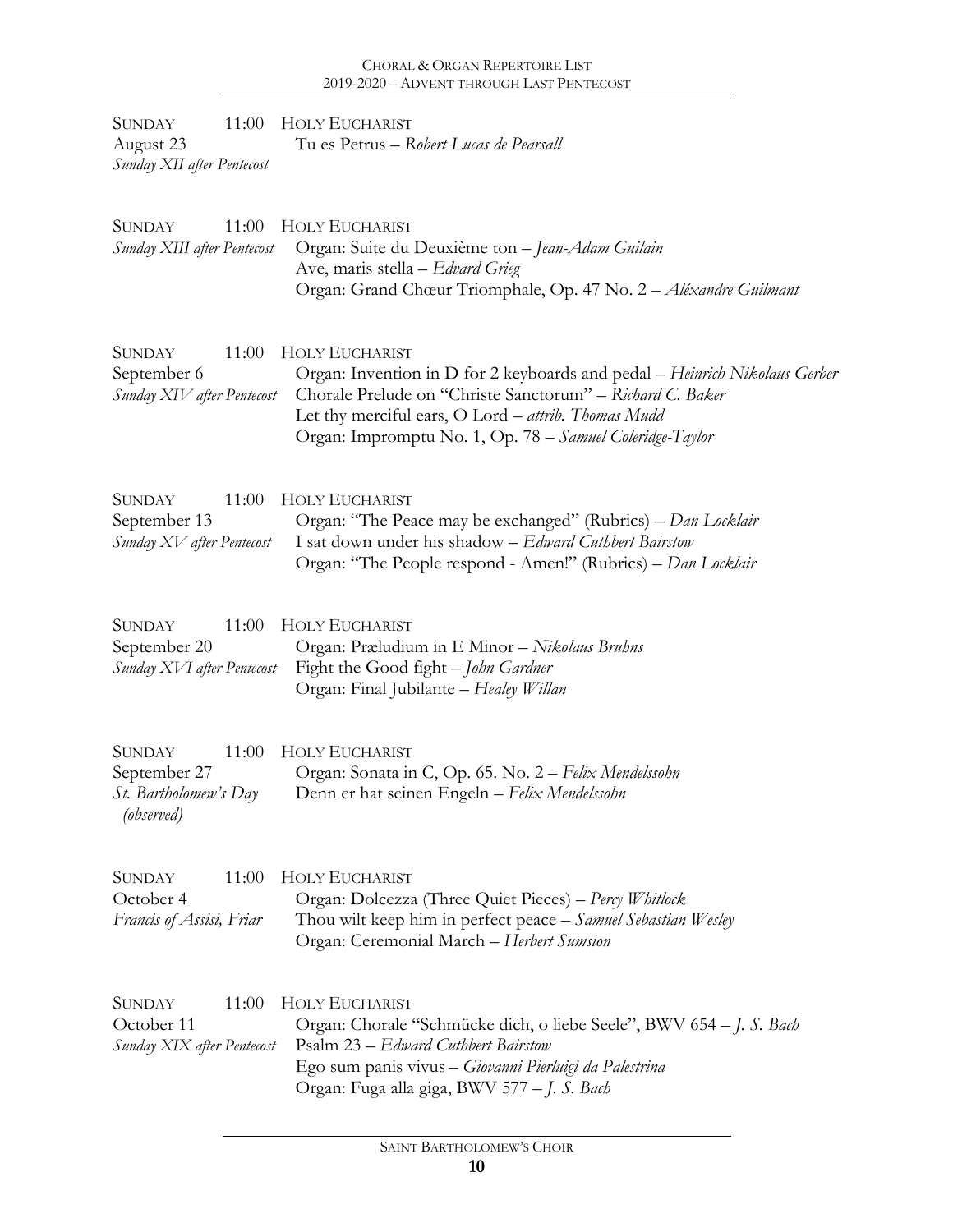| 11:00<br><b>SUNDAY</b><br>August 23<br>Sunday XII after Pentecost                    | <b>HOLY EUCHARIST</b><br>Tu es Petrus – Robert Lucas de Pearsall                                                                                                                                                                                                                    |
|--------------------------------------------------------------------------------------|-------------------------------------------------------------------------------------------------------------------------------------------------------------------------------------------------------------------------------------------------------------------------------------|
| <b>SUNDAY</b><br>11:00<br>Sunday XIII after Pentecost                                | <b>HOLY EUCHARIST</b><br>Organ: Suite du Deuxième ton - Jean-Adam Guilain<br>Ave, maris stella - Edvard Grieg<br>Organ: Grand Chœur Triomphale, Op. 47 No. 2 - Aléxandre Guilmant                                                                                                   |
| <b>SUNDAY</b><br>11:00<br>September 6<br>Sunday XIV after Pentecost                  | <b>HOLY EUCHARIST</b><br>Organ: Invention in D for 2 keyboards and pedal - Heinrich Nikolaus Gerber<br>Chorale Prelude on "Christe Sanctorum" - Richard C. Baker<br>Let thy merciful ears, O Lord - attrib. Thomas Mudd<br>Organ: Impromptu No. 1, Op. 78 - Samuel Coleridge-Taylor |
| <b>SUNDAY</b><br>11:00<br>September 13<br>Sunday XV after Pentecost                  | <b>HOLY EUCHARIST</b><br>Organ: "The Peace may be exchanged" (Rubrics) – Dan Locklair<br>I sat down under his shadow - Edward Cuthbert Bairstow<br>Organ: "The People respond - Amen!" (Rubrics) - Dan Locklair                                                                     |
| <b>SUNDAY</b><br>11:00<br>September 20<br>Sunday XVI after Pentecost                 | <b>HOLY EUCHARIST</b><br>Organ: Præludium in E Minor - Nikolaus Bruhns<br>Fight the Good fight - John Gardner<br>Organ: Final Jubilante - Healey Willan                                                                                                                             |
| <b>SUNDAY</b><br>11:00<br>September 27<br><i>St.</i> Bartholomew's Day<br>(observed) | <b>HOLY EUCHARIST</b><br>Organ: Sonata in C, Op. 65. No. 2 – Felix Mendelssohn<br>Denn er hat seinen Engeln - Felix Mendelssohn                                                                                                                                                     |
| <b>SUNDAY</b><br>11:00<br>October 4<br>Francis of Assisi, Friar                      | <b>HOLY EUCHARIST</b><br>Organ: Dolcezza (Three Quiet Pieces) – Percy Whitlock<br>Thou wilt keep him in perfect peace - Samuel Sebastian Wesley<br>Organ: Ceremonial March - Herbert Sumsion                                                                                        |
| <b>SUNDAY</b><br>11:00<br>October 11<br>Sunday XIX after Pentecost                   | <b>HOLY EUCHARIST</b><br>Organ: Chorale "Schmücke dich, o liebe Seele", BWV 654 – J. S. Bach<br>Psalm 23 – Edward Cuthbert Bairstow<br>Ego sum panis vivus - Giovanni Pierluigi da Palestrina<br>Organ: Fuga alla giga, BWV 577 - J. S. Bach                                        |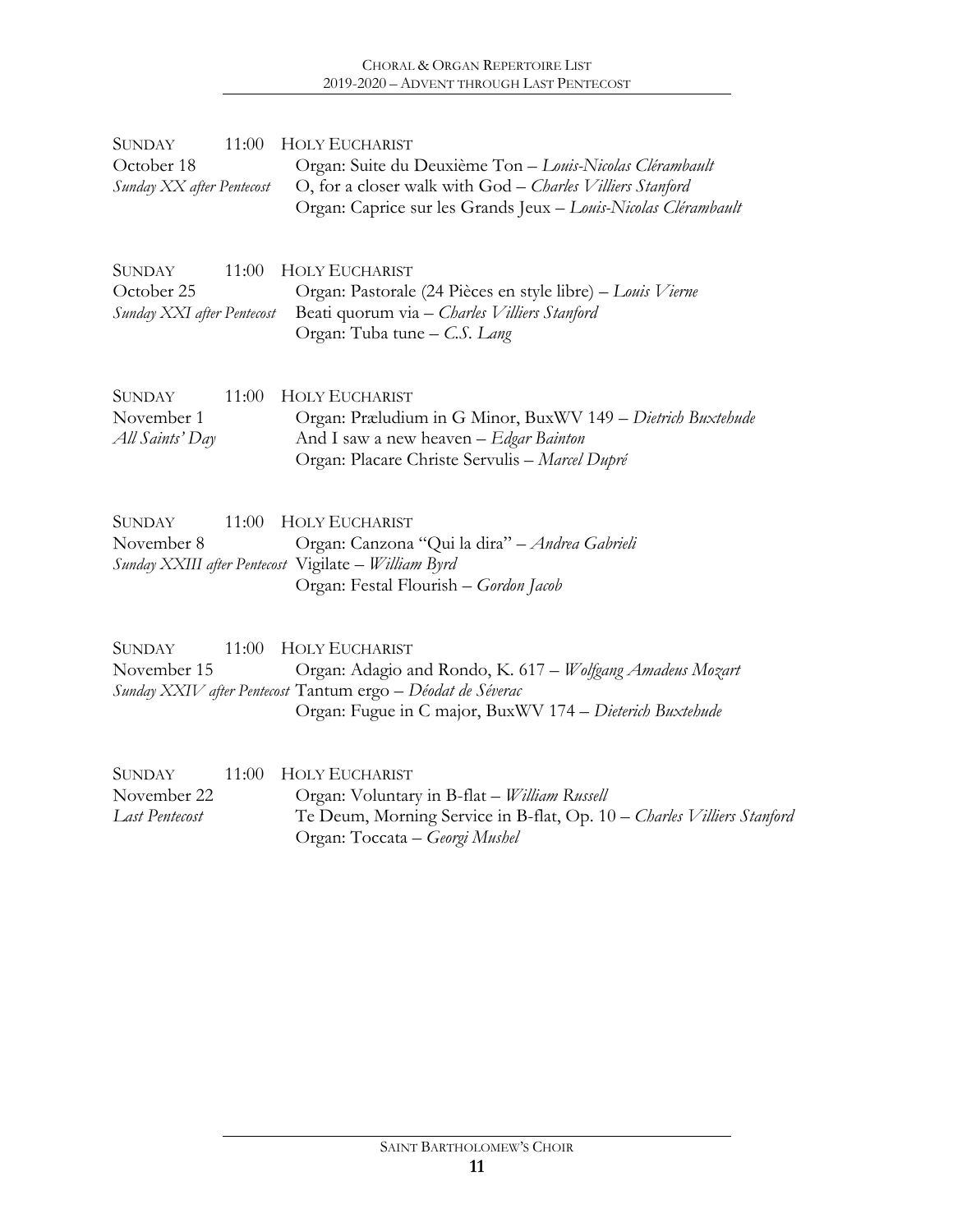| <b>SUNDAY</b><br>October 18<br>Sunday XX after Pentecost  | 11:00 | <b>HOLY EUCHARIST</b><br>Organ: Suite du Deuxième Ton - Louis-Nicolas Clérambault<br>O, for a closer walk with God - Charles Villiers Stanford<br>Organ: Caprice sur les Grands Jeux - Louis-Nicolas Clérambault |
|-----------------------------------------------------------|-------|------------------------------------------------------------------------------------------------------------------------------------------------------------------------------------------------------------------|
| <b>SUNDAY</b><br>October 25<br>Sunday XXI after Pentecost | 11:00 | HOLY EUCHARIST<br>Organ: Pastorale (24 Pièces en style libre) - Louis Vierne<br>Beati quorum via - Charles Villiers Stanford<br>Organ: Tuba tune - C.S. Lang                                                     |
| <b>SUNDAY</b><br>November 1<br>All Saints' Day            | 11:00 | <b>HOLY EUCHARIST</b><br>Organ: Præludium in G Minor, BuxWV 149 – Dietrich Buxtehude<br>And I saw a new heaven - Edgar Bainton<br>Organ: Placare Christe Servulis - Marcel Dupré                                 |
| <b>SUNDAY</b><br>November 8                               | 11:00 | <b>HOLY EUCHARIST</b><br>Organ: Canzona "Qui la dira" - Andrea Gabrieli<br>Sunday XXIII after Pentecost Vigilate - William Byrd<br>Organ: Festal Flourish - Gordon Jacob                                         |
| <b>SUNDAY</b><br>November 15                              | 11:00 | <b>HOLY EUCHARIST</b><br>Organ: Adagio and Rondo, K. 617 - Wolfgang Amadeus Mozart<br>Sunday XXIV after Pentecost Tantum ergo - Déodat de Séverac<br>Organ: Fugue in C major, BuxWV 174 - Dieterich Buxtehude    |
| <b>SUNDAY</b><br>November 22<br><b>Last Pentecost</b>     | 11:00 | <b>HOLY EUCHARIST</b><br>Organ: Voluntary in B-flat - William Russell<br>Te Deum, Morning Service in B-flat, Op. 10 - Charles Villiers Stanford<br>Organ: Toccata - Georgi Mushel                                |